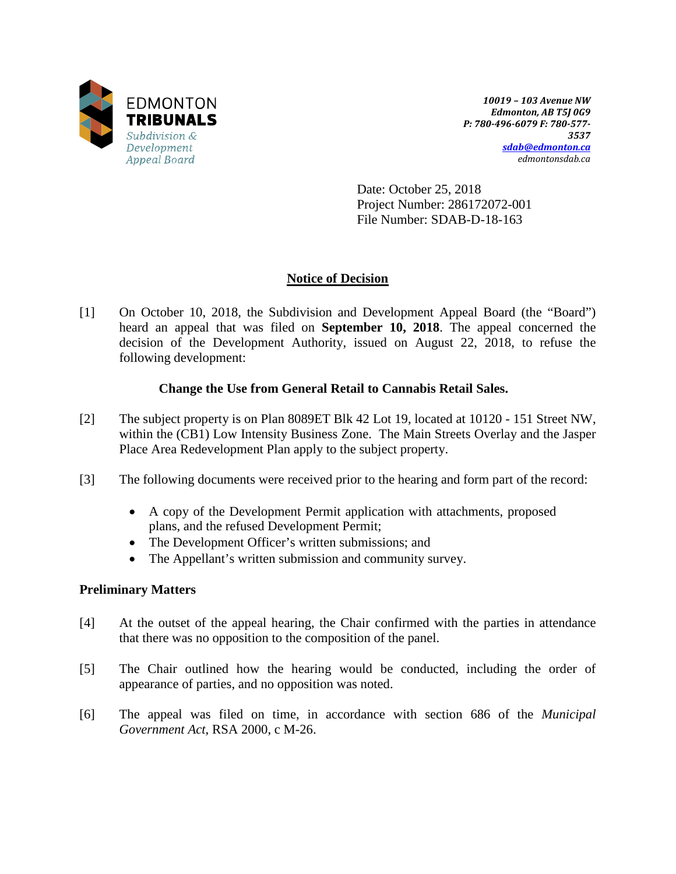

*10019 – 103 Avenue NW Edmonton, AB T5J 0G9 P: 780-496-6079 F: 780-577- 3537 [sdab@edmonton.ca](mailto:sdab@edmonton.ca) edmontonsdab.ca*

Date: October 25, 2018 Project Number: 286172072-001 File Number: SDAB-D-18-163

# **Notice of Decision**

[1] On October 10, 2018, the Subdivision and Development Appeal Board (the "Board") heard an appeal that was filed on **September 10, 2018**. The appeal concerned the decision of the Development Authority, issued on August 22, 2018, to refuse the following development:

# **Change the Use from General Retail to Cannabis Retail Sales.**

- [2] The subject property is on Plan 8089ET Blk 42 Lot 19, located at 10120 151 Street NW, within the (CB1) Low Intensity Business Zone. The Main Streets Overlay and the Jasper Place Area Redevelopment Plan apply to the subject property.
- [3] The following documents were received prior to the hearing and form part of the record:
	- A copy of the Development Permit application with attachments, proposed plans, and the refused Development Permit;
	- The Development Officer's written submissions; and
	- The Appellant's written submission and community survey.

# **Preliminary Matters**

- [4] At the outset of the appeal hearing, the Chair confirmed with the parties in attendance that there was no opposition to the composition of the panel.
- [5] The Chair outlined how the hearing would be conducted, including the order of appearance of parties, and no opposition was noted.
- [6] The appeal was filed on time, in accordance with section 686 of the *Municipal Government Act*, RSA 2000, c M-26.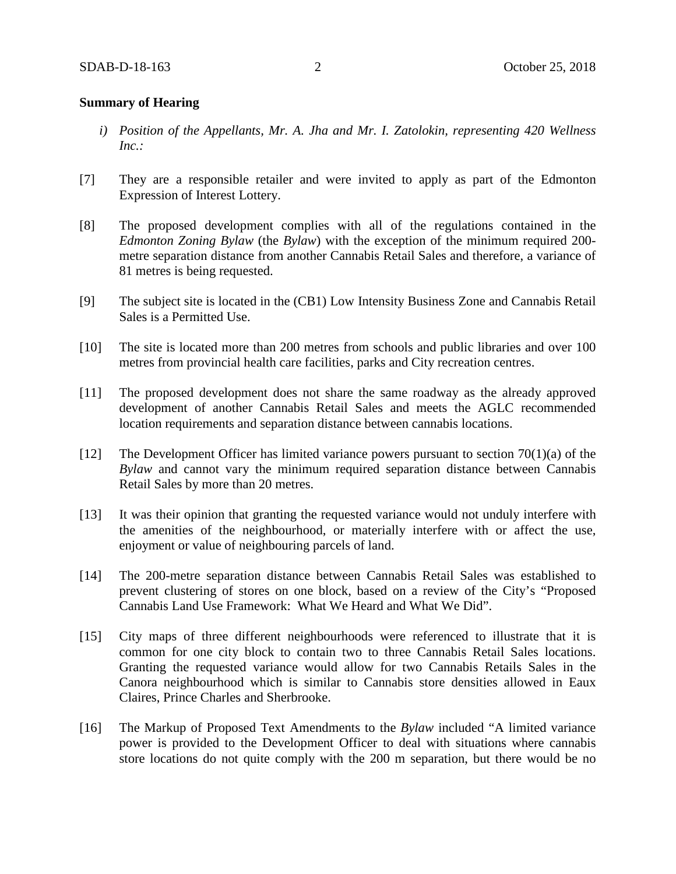### **Summary of Hearing**

- *i) Position of the Appellants, Mr. A. Jha and Mr. I. Zatolokin, representing 420 Wellness Inc.:*
- [7] They are a responsible retailer and were invited to apply as part of the Edmonton Expression of Interest Lottery.
- [8] The proposed development complies with all of the regulations contained in the *Edmonton Zoning Bylaw* (the *Bylaw*) with the exception of the minimum required 200 metre separation distance from another Cannabis Retail Sales and therefore, a variance of 81 metres is being requested.
- [9] The subject site is located in the (CB1) Low Intensity Business Zone and Cannabis Retail Sales is a Permitted Use.
- [10] The site is located more than 200 metres from schools and public libraries and over 100 metres from provincial health care facilities, parks and City recreation centres.
- [11] The proposed development does not share the same roadway as the already approved development of another Cannabis Retail Sales and meets the AGLC recommended location requirements and separation distance between cannabis locations.
- [12] The Development Officer has limited variance powers pursuant to section 70(1)(a) of the *Bylaw* and cannot vary the minimum required separation distance between Cannabis Retail Sales by more than 20 metres.
- [13] It was their opinion that granting the requested variance would not unduly interfere with the amenities of the neighbourhood, or materially interfere with or affect the use, enjoyment or value of neighbouring parcels of land.
- [14] The 200-metre separation distance between Cannabis Retail Sales was established to prevent clustering of stores on one block, based on a review of the City's "Proposed Cannabis Land Use Framework: What We Heard and What We Did".
- [15] City maps of three different neighbourhoods were referenced to illustrate that it is common for one city block to contain two to three Cannabis Retail Sales locations. Granting the requested variance would allow for two Cannabis Retails Sales in the Canora neighbourhood which is similar to Cannabis store densities allowed in Eaux Claires, Prince Charles and Sherbrooke.
- [16] The Markup of Proposed Text Amendments to the *Bylaw* included "A limited variance power is provided to the Development Officer to deal with situations where cannabis store locations do not quite comply with the 200 m separation, but there would be no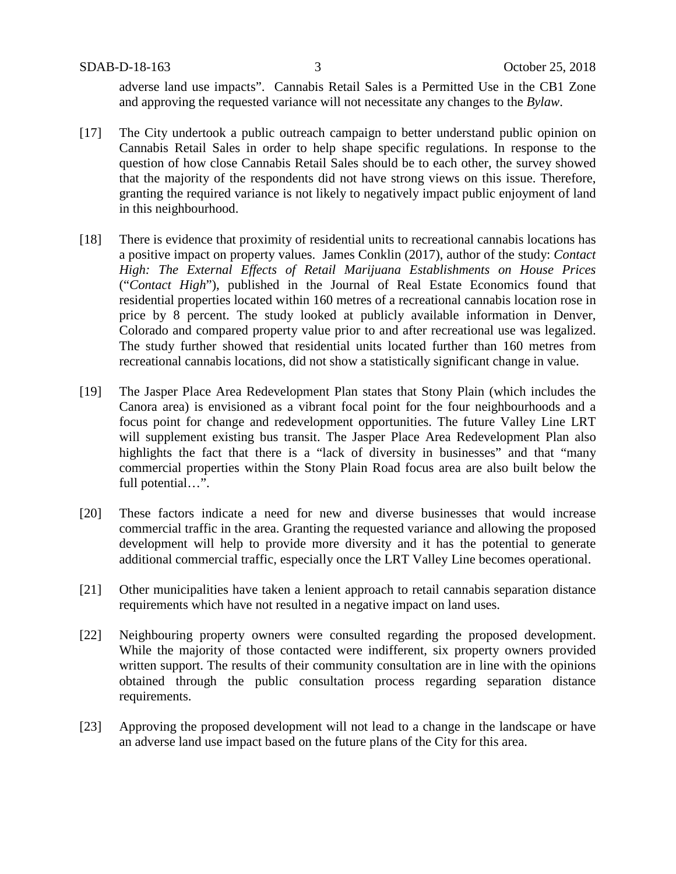SDAB-D-18-163 3 October 25, 2018

adverse land use impacts". Cannabis Retail Sales is a Permitted Use in the CB1 Zone and approving the requested variance will not necessitate any changes to the *Bylaw*.

- [17] The City undertook a public outreach campaign to better understand public opinion on Cannabis Retail Sales in order to help shape specific regulations. In response to the question of how close Cannabis Retail Sales should be to each other, the survey showed that the majority of the respondents did not have strong views on this issue. Therefore, granting the required variance is not likely to negatively impact public enjoyment of land in this neighbourhood.
- [18] There is evidence that proximity of residential units to recreational cannabis locations has a positive impact on property values. James Conklin (2017), author of the study: *Contact High: The External Effects of Retail Marijuana Establishments on House Prices*  ("*Contact High*"), published in the Journal of Real Estate Economics found that residential properties located within 160 metres of a recreational cannabis location rose in price by 8 percent. The study looked at publicly available information in Denver, Colorado and compared property value prior to and after recreational use was legalized. The study further showed that residential units located further than 160 metres from recreational cannabis locations, did not show a statistically significant change in value.
- [19] The Jasper Place Area Redevelopment Plan states that Stony Plain (which includes the Canora area) is envisioned as a vibrant focal point for the four neighbourhoods and a focus point for change and redevelopment opportunities. The future Valley Line LRT will supplement existing bus transit. The Jasper Place Area Redevelopment Plan also highlights the fact that there is a "lack of diversity in businesses" and that "many commercial properties within the Stony Plain Road focus area are also built below the full potential…".
- [20] These factors indicate a need for new and diverse businesses that would increase commercial traffic in the area. Granting the requested variance and allowing the proposed development will help to provide more diversity and it has the potential to generate additional commercial traffic, especially once the LRT Valley Line becomes operational.
- [21] Other municipalities have taken a lenient approach to retail cannabis separation distance requirements which have not resulted in a negative impact on land uses.
- [22] Neighbouring property owners were consulted regarding the proposed development. While the majority of those contacted were indifferent, six property owners provided written support. The results of their community consultation are in line with the opinions obtained through the public consultation process regarding separation distance requirements.
- [23] Approving the proposed development will not lead to a change in the landscape or have an adverse land use impact based on the future plans of the City for this area.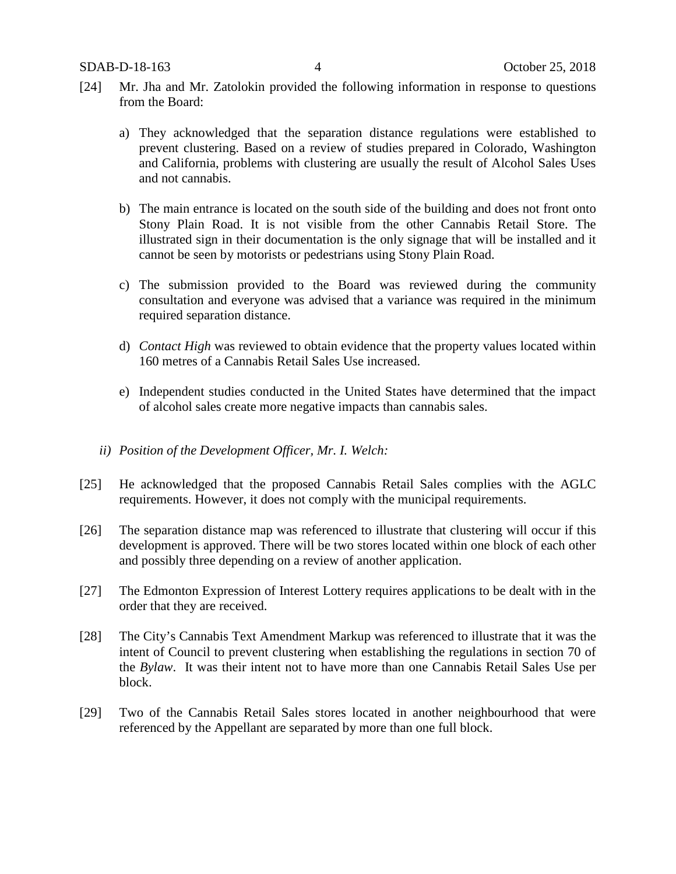- [24] Mr. Jha and Mr. Zatolokin provided the following information in response to questions from the Board:
	- a) They acknowledged that the separation distance regulations were established to prevent clustering. Based on a review of studies prepared in Colorado, Washington and California, problems with clustering are usually the result of Alcohol Sales Uses and not cannabis.
	- b) The main entrance is located on the south side of the building and does not front onto Stony Plain Road. It is not visible from the other Cannabis Retail Store. The illustrated sign in their documentation is the only signage that will be installed and it cannot be seen by motorists or pedestrians using Stony Plain Road.
	- c) The submission provided to the Board was reviewed during the community consultation and everyone was advised that a variance was required in the minimum required separation distance.
	- d) *Contact High* was reviewed to obtain evidence that the property values located within 160 metres of a Cannabis Retail Sales Use increased.
	- e) Independent studies conducted in the United States have determined that the impact of alcohol sales create more negative impacts than cannabis sales.
	- *ii) Position of the Development Officer, Mr. I. Welch:*
- [25] He acknowledged that the proposed Cannabis Retail Sales complies with the AGLC requirements. However, it does not comply with the municipal requirements.
- [26] The separation distance map was referenced to illustrate that clustering will occur if this development is approved. There will be two stores located within one block of each other and possibly three depending on a review of another application.
- [27] The Edmonton Expression of Interest Lottery requires applications to be dealt with in the order that they are received.
- [28] The City's Cannabis Text Amendment Markup was referenced to illustrate that it was the intent of Council to prevent clustering when establishing the regulations in section 70 of the *Bylaw*. It was their intent not to have more than one Cannabis Retail Sales Use per block.
- [29] Two of the Cannabis Retail Sales stores located in another neighbourhood that were referenced by the Appellant are separated by more than one full block.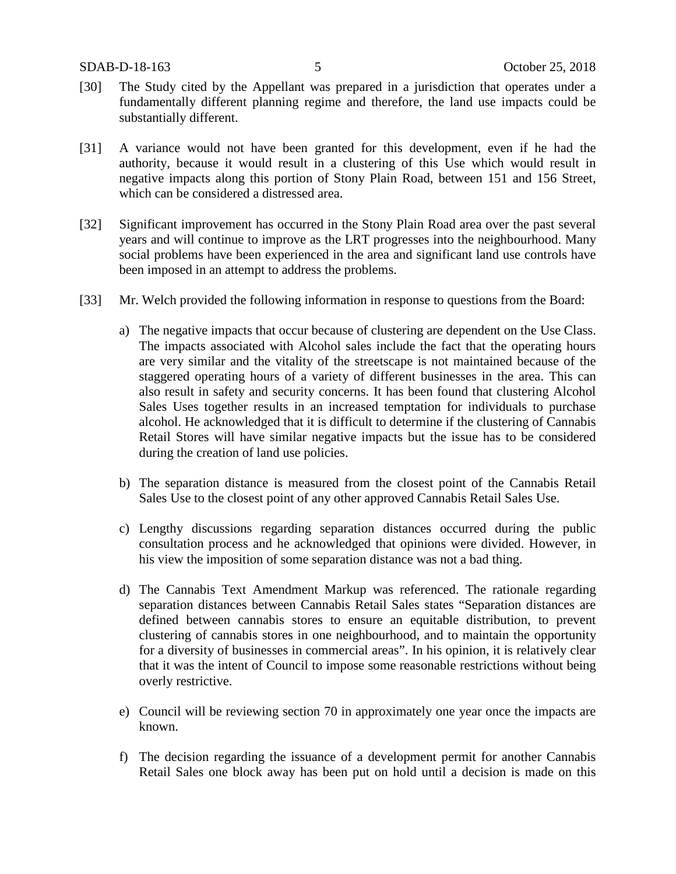- [30] The Study cited by the Appellant was prepared in a jurisdiction that operates under a fundamentally different planning regime and therefore, the land use impacts could be substantially different.
- [31] A variance would not have been granted for this development, even if he had the authority, because it would result in a clustering of this Use which would result in negative impacts along this portion of Stony Plain Road, between 151 and 156 Street, which can be considered a distressed area.
- [32] Significant improvement has occurred in the Stony Plain Road area over the past several years and will continue to improve as the LRT progresses into the neighbourhood. Many social problems have been experienced in the area and significant land use controls have been imposed in an attempt to address the problems.
- [33] Mr. Welch provided the following information in response to questions from the Board:
	- a) The negative impacts that occur because of clustering are dependent on the Use Class. The impacts associated with Alcohol sales include the fact that the operating hours are very similar and the vitality of the streetscape is not maintained because of the staggered operating hours of a variety of different businesses in the area. This can also result in safety and security concerns. It has been found that clustering Alcohol Sales Uses together results in an increased temptation for individuals to purchase alcohol. He acknowledged that it is difficult to determine if the clustering of Cannabis Retail Stores will have similar negative impacts but the issue has to be considered during the creation of land use policies.
	- b) The separation distance is measured from the closest point of the Cannabis Retail Sales Use to the closest point of any other approved Cannabis Retail Sales Use.
	- c) Lengthy discussions regarding separation distances occurred during the public consultation process and he acknowledged that opinions were divided. However, in his view the imposition of some separation distance was not a bad thing.
	- d) The Cannabis Text Amendment Markup was referenced. The rationale regarding separation distances between Cannabis Retail Sales states "Separation distances are defined between cannabis stores to ensure an equitable distribution, to prevent clustering of cannabis stores in one neighbourhood, and to maintain the opportunity for a diversity of businesses in commercial areas". In his opinion, it is relatively clear that it was the intent of Council to impose some reasonable restrictions without being overly restrictive.
	- e) Council will be reviewing section 70 in approximately one year once the impacts are known.
	- f) The decision regarding the issuance of a development permit for another Cannabis Retail Sales one block away has been put on hold until a decision is made on this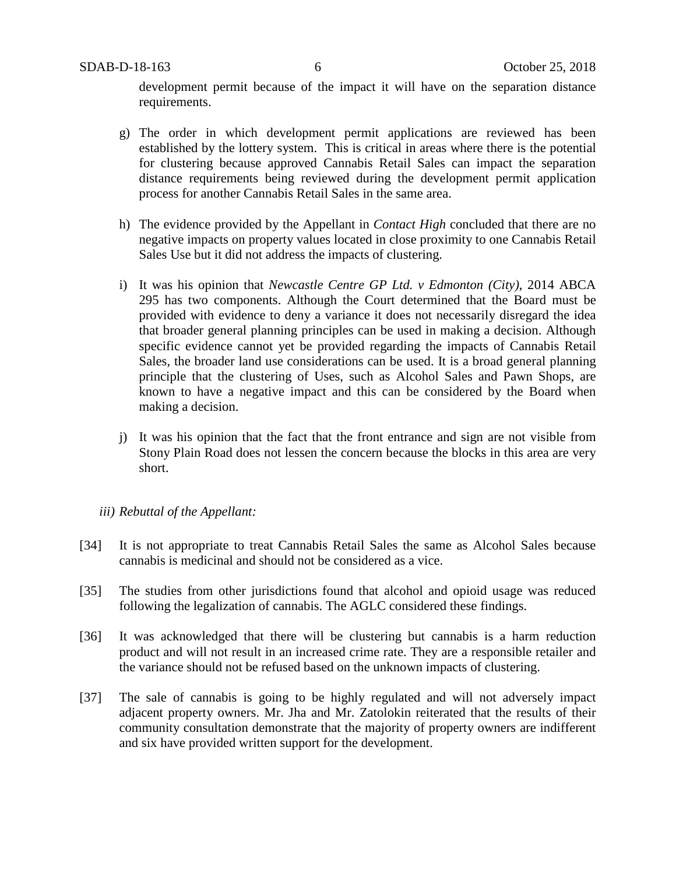development permit because of the impact it will have on the separation distance requirements.

- g) The order in which development permit applications are reviewed has been established by the lottery system. This is critical in areas where there is the potential for clustering because approved Cannabis Retail Sales can impact the separation distance requirements being reviewed during the development permit application process for another Cannabis Retail Sales in the same area.
- h) The evidence provided by the Appellant in *Contact High* concluded that there are no negative impacts on property values located in close proximity to one Cannabis Retail Sales Use but it did not address the impacts of clustering.
- i) It was his opinion that *Newcastle Centre GP Ltd. v Edmonton (City)*, 2014 ABCA 295 has two components. Although the Court determined that the Board must be provided with evidence to deny a variance it does not necessarily disregard the idea that broader general planning principles can be used in making a decision. Although specific evidence cannot yet be provided regarding the impacts of Cannabis Retail Sales, the broader land use considerations can be used. It is a broad general planning principle that the clustering of Uses, such as Alcohol Sales and Pawn Shops, are known to have a negative impact and this can be considered by the Board when making a decision.
- j) It was his opinion that the fact that the front entrance and sign are not visible from Stony Plain Road does not lessen the concern because the blocks in this area are very short.

#### *iii) Rebuttal of the Appellant:*

- [34] It is not appropriate to treat Cannabis Retail Sales the same as Alcohol Sales because cannabis is medicinal and should not be considered as a vice.
- [35] The studies from other jurisdictions found that alcohol and opioid usage was reduced following the legalization of cannabis. The AGLC considered these findings.
- [36] It was acknowledged that there will be clustering but cannabis is a harm reduction product and will not result in an increased crime rate. They are a responsible retailer and the variance should not be refused based on the unknown impacts of clustering.
- [37] The sale of cannabis is going to be highly regulated and will not adversely impact adjacent property owners. Mr. Jha and Mr. Zatolokin reiterated that the results of their community consultation demonstrate that the majority of property owners are indifferent and six have provided written support for the development.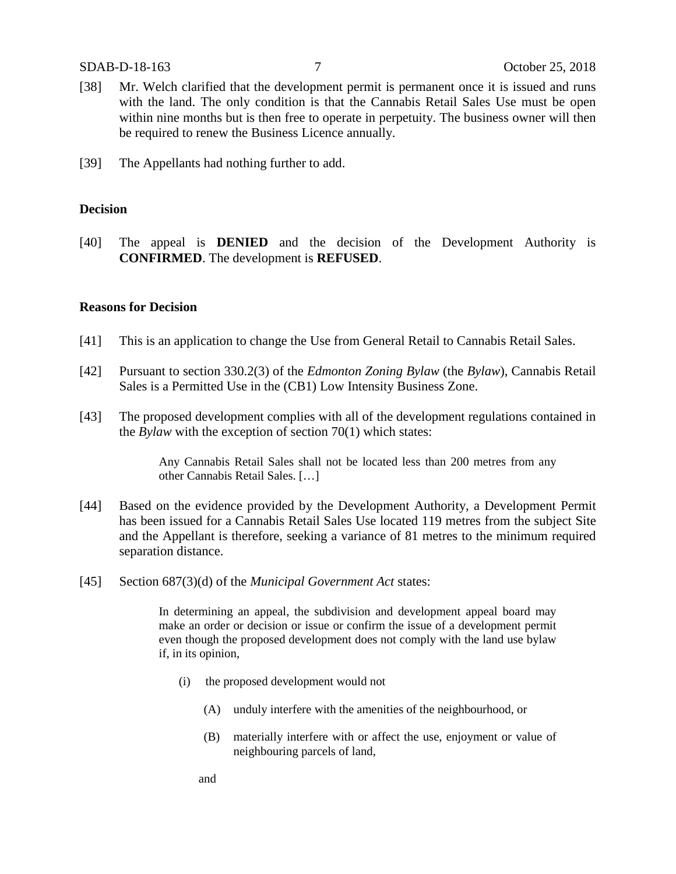- [38] Mr. Welch clarified that the development permit is permanent once it is issued and runs with the land. The only condition is that the Cannabis Retail Sales Use must be open within nine months but is then free to operate in perpetuity. The business owner will then be required to renew the Business Licence annually.
- [39] The Appellants had nothing further to add.

#### **Decision**

[40] The appeal is **DENIED** and the decision of the Development Authority is **CONFIRMED**. The development is **REFUSED**.

#### **Reasons for Decision**

- [41] This is an application to change the Use from General Retail to Cannabis Retail Sales.
- [42] Pursuant to section 330.2(3) of the *Edmonton Zoning Bylaw* (the *Bylaw*), Cannabis Retail Sales is a Permitted Use in the (CB1) Low Intensity Business Zone.
- [43] The proposed development complies with all of the development regulations contained in the *Bylaw* with the exception of section 70(1) which states:

Any Cannabis Retail Sales shall not be located less than 200 metres from any other Cannabis Retail Sales. […]

- [44] Based on the evidence provided by the Development Authority, a Development Permit has been issued for a Cannabis Retail Sales Use located 119 metres from the subject Site and the Appellant is therefore, seeking a variance of 81 metres to the minimum required separation distance.
- [45] Section 687(3)(d) of the *Municipal Government Act* states:

In determining an appeal, the subdivision and development appeal board may make an order or decision or issue or confirm the issue of a development permit even though the proposed development does not comply with the land use bylaw if, in its opinion,

- (i) the proposed development would not
	- (A) unduly interfere with the amenities of the neighbourhood, or
	- (B) materially interfere with or affect the use, enjoyment or value of neighbouring parcels of land,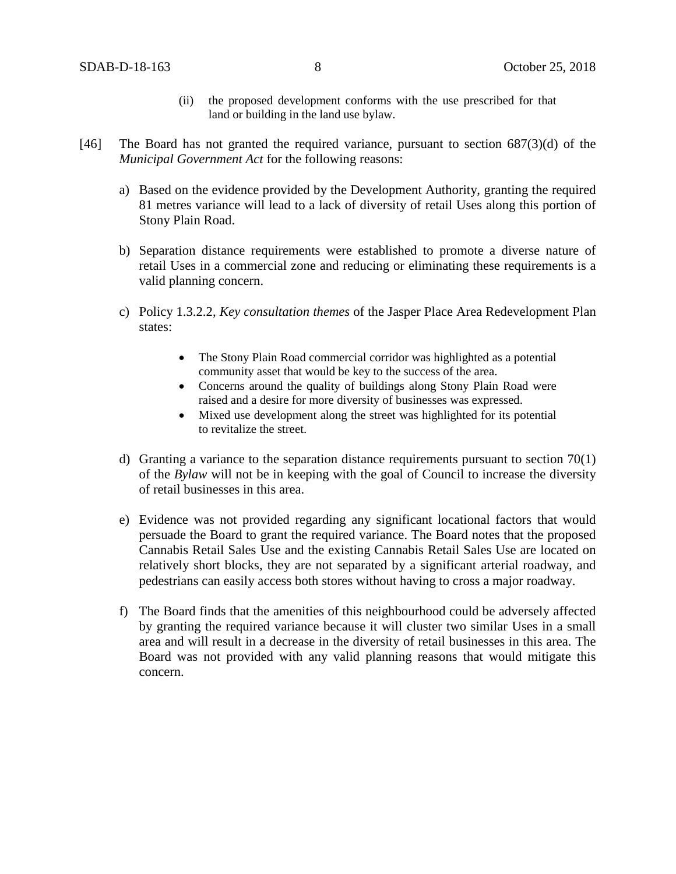- (ii) the proposed development conforms with the use prescribed for that land or building in the land use bylaw.
- [46] The Board has not granted the required variance, pursuant to section  $687(3)(d)$  of the *Municipal Government Act* for the following reasons:
	- a) Based on the evidence provided by the Development Authority, granting the required 81 metres variance will lead to a lack of diversity of retail Uses along this portion of Stony Plain Road.
	- b) Separation distance requirements were established to promote a diverse nature of retail Uses in a commercial zone and reducing or eliminating these requirements is a valid planning concern.
	- c) Policy 1.3.2.2, *Key consultation themes* of the Jasper Place Area Redevelopment Plan states:
		- The Stony Plain Road commercial corridor was highlighted as a potential community asset that would be key to the success of the area.
		- Concerns around the quality of buildings along Stony Plain Road were raised and a desire for more diversity of businesses was expressed.
		- Mixed use development along the street was highlighted for its potential to revitalize the street.
	- d) Granting a variance to the separation distance requirements pursuant to section 70(1) of the *Bylaw* will not be in keeping with the goal of Council to increase the diversity of retail businesses in this area.
	- e) Evidence was not provided regarding any significant locational factors that would persuade the Board to grant the required variance. The Board notes that the proposed Cannabis Retail Sales Use and the existing Cannabis Retail Sales Use are located on relatively short blocks, they are not separated by a significant arterial roadway, and pedestrians can easily access both stores without having to cross a major roadway.
	- f) The Board finds that the amenities of this neighbourhood could be adversely affected by granting the required variance because it will cluster two similar Uses in a small area and will result in a decrease in the diversity of retail businesses in this area. The Board was not provided with any valid planning reasons that would mitigate this concern.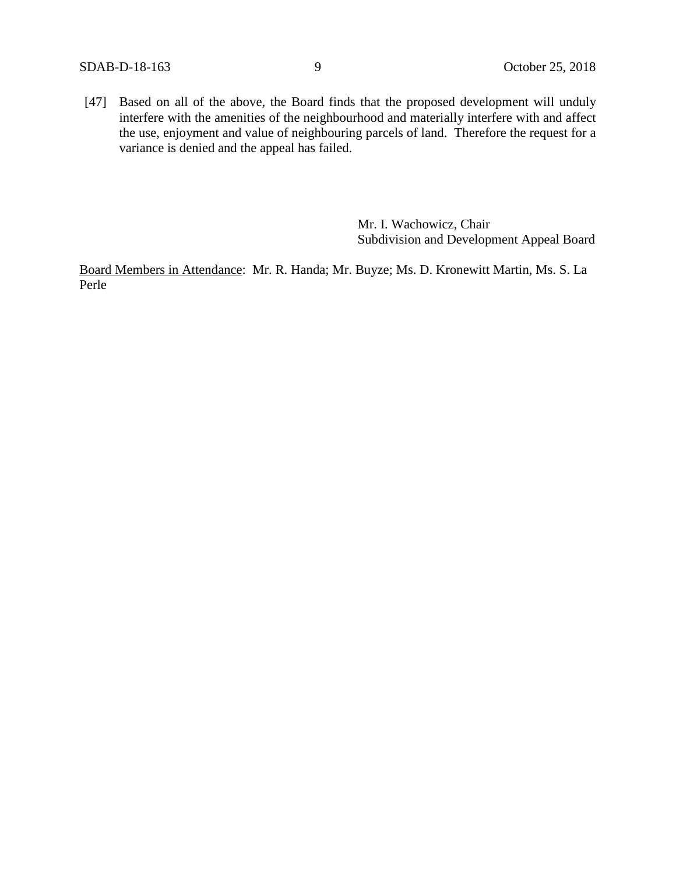[47] Based on all of the above, the Board finds that the proposed development will unduly interfere with the amenities of the neighbourhood and materially interfere with and affect the use, enjoyment and value of neighbouring parcels of land. Therefore the request for a variance is denied and the appeal has failed.

> Mr. I. Wachowicz, Chair Subdivision and Development Appeal Board

Board Members in Attendance: Mr. R. Handa; Mr. Buyze; Ms. D. Kronewitt Martin, Ms. S. La Perle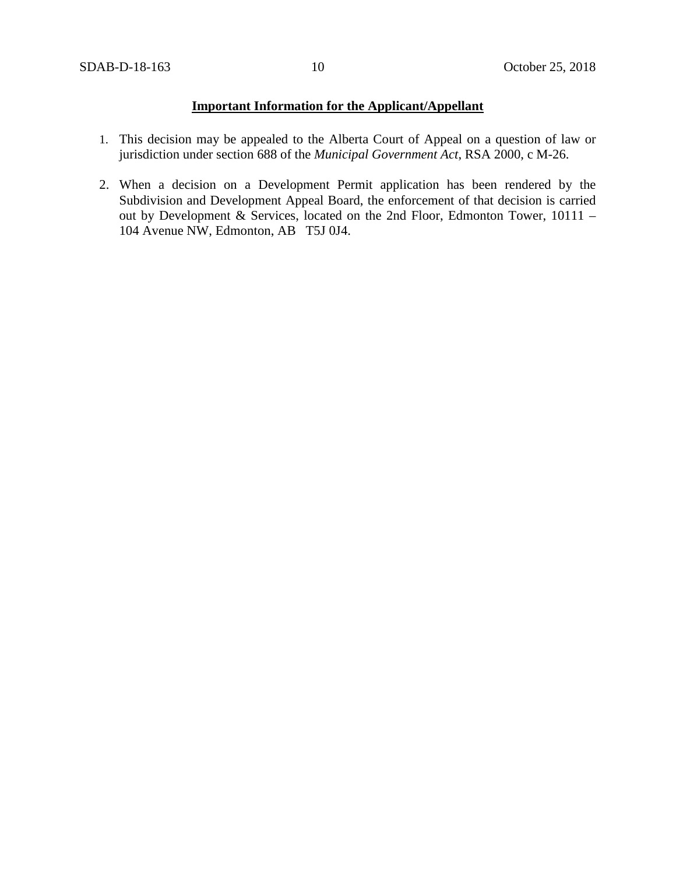# **Important Information for the Applicant/Appellant**

- 1. This decision may be appealed to the Alberta Court of Appeal on a question of law or jurisdiction under section 688 of the *Municipal Government Act*, RSA 2000, c M-26.
- 2. When a decision on a Development Permit application has been rendered by the Subdivision and Development Appeal Board, the enforcement of that decision is carried out by Development & Services, located on the 2nd Floor, Edmonton Tower, 10111 – 104 Avenue NW, Edmonton, AB T5J 0J4.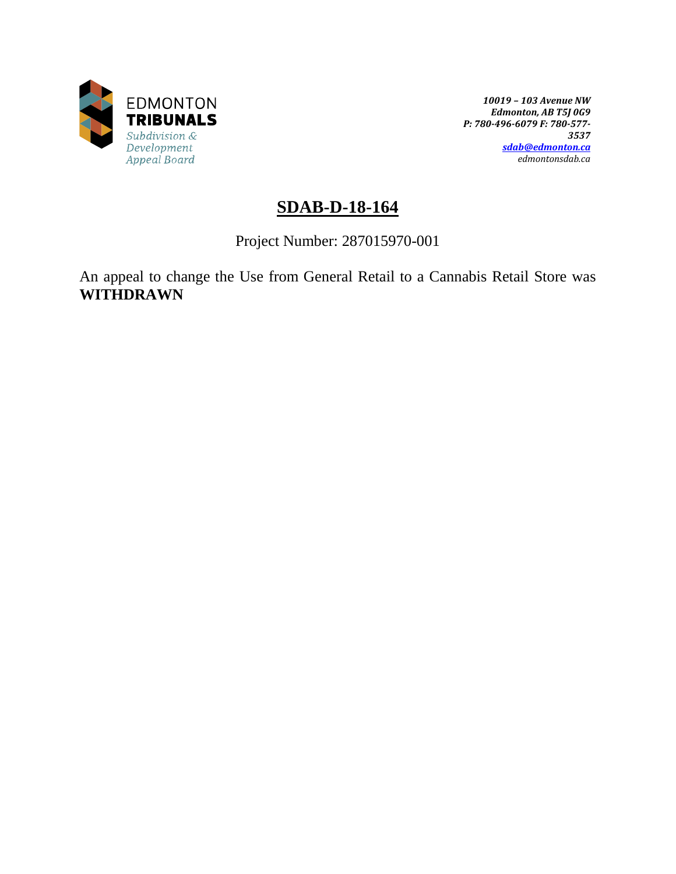

*10019 – 103 Avenue NW Edmonton, AB T5J 0G9 P: 780-496-6079 F: 780-577- 3537 [sdab@edmonton.ca](mailto:sdab@edmonton.ca) edmontonsdab.ca*

# **SDAB-D-18-164**

Project Number: 287015970-001

An appeal to change the Use from General Retail to a Cannabis Retail Store was **WITHDRAWN**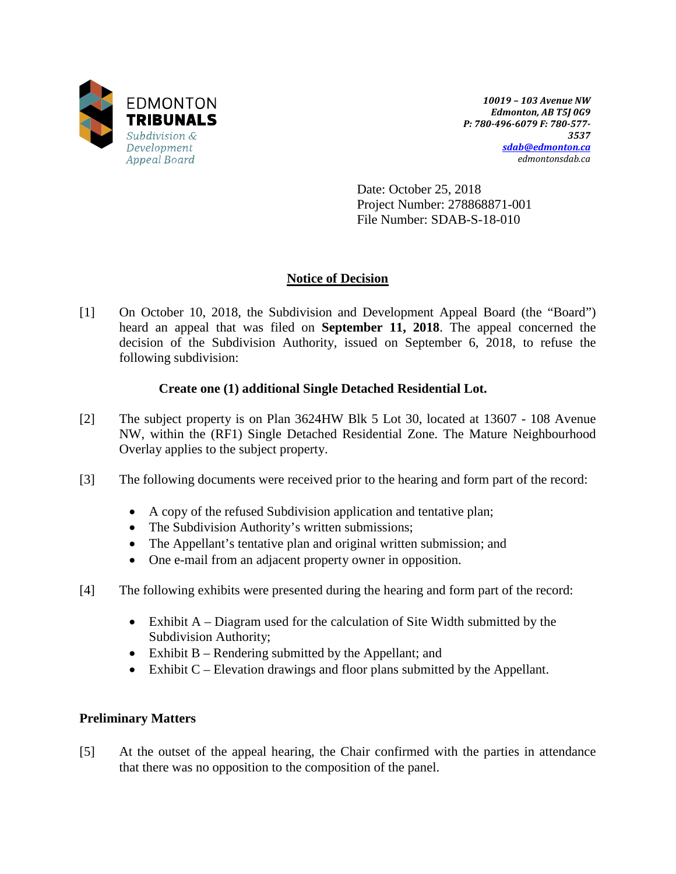

*10019 – 103 Avenue NW Edmonton, AB T5J 0G9 P: 780-496-6079 F: 780-577- 3537 [sdab@edmonton.ca](mailto:sdab@edmonton.ca) edmontonsdab.ca*

Date: October 25, 2018 Project Number: 278868871-001 File Number: SDAB-S-18-010

# **Notice of Decision**

[1] On October 10, 2018, the Subdivision and Development Appeal Board (the "Board") heard an appeal that was filed on **September 11, 2018**. The appeal concerned the decision of the Subdivision Authority, issued on September 6, 2018, to refuse the following subdivision:

### **Create one (1) additional Single Detached Residential Lot.**

- [2] The subject property is on Plan 3624HW Blk 5 Lot 30, located at 13607 108 Avenue NW, within the (RF1) Single Detached Residential Zone. The Mature Neighbourhood Overlay applies to the subject property.
- [3] The following documents were received prior to the hearing and form part of the record:
	- A copy of the refused Subdivision application and tentative plan;
	- The Subdivision Authority's written submissions;
	- The Appellant's tentative plan and original written submission; and
	- One e-mail from an adjacent property owner in opposition.
- [4] The following exhibits were presented during the hearing and form part of the record:
	- Exhibit A Diagram used for the calculation of Site Width submitted by the Subdivision Authority;
	- Exhibit B Rendering submitted by the Appellant; and
	- Exhibit C Elevation drawings and floor plans submitted by the Appellant.

### **Preliminary Matters**

[5] At the outset of the appeal hearing, the Chair confirmed with the parties in attendance that there was no opposition to the composition of the panel.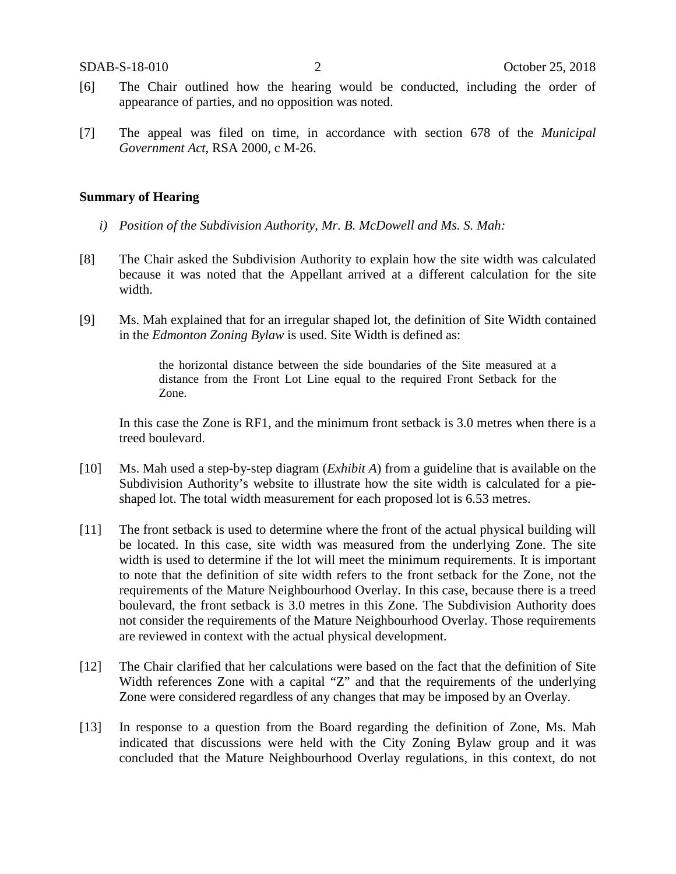- [6] The Chair outlined how the hearing would be conducted, including the order of appearance of parties, and no opposition was noted.
- [7] The appeal was filed on time, in accordance with section 678 of the *Municipal Government Act*, RSA 2000, c M-26.

#### **Summary of Hearing**

- *i) Position of the Subdivision Authority, Mr. B. McDowell and Ms. S. Mah:*
- [8] The Chair asked the Subdivision Authority to explain how the site width was calculated because it was noted that the Appellant arrived at a different calculation for the site width.
- [9] Ms. Mah explained that for an irregular shaped lot, the definition of Site Width contained in the *Edmonton Zoning Bylaw* is used. Site Width is defined as:

the horizontal distance between the side boundaries of the Site measured at a distance from the Front Lot Line equal to the required Front Setback for the Zone.

In this case the Zone is RF1, and the minimum front setback is 3.0 metres when there is a treed boulevard.

- [10] Ms. Mah used a step-by-step diagram (*Exhibit A*) from a guideline that is available on the Subdivision Authority's website to illustrate how the site width is calculated for a pieshaped lot. The total width measurement for each proposed lot is 6.53 metres.
- [11] The front setback is used to determine where the front of the actual physical building will be located. In this case, site width was measured from the underlying Zone. The site width is used to determine if the lot will meet the minimum requirements. It is important to note that the definition of site width refers to the front setback for the Zone, not the requirements of the Mature Neighbourhood Overlay. In this case, because there is a treed boulevard, the front setback is 3.0 metres in this Zone. The Subdivision Authority does not consider the requirements of the Mature Neighbourhood Overlay. Those requirements are reviewed in context with the actual physical development.
- [12] The Chair clarified that her calculations were based on the fact that the definition of Site Width references Zone with a capital "Z" and that the requirements of the underlying Zone were considered regardless of any changes that may be imposed by an Overlay.
- [13] In response to a question from the Board regarding the definition of Zone, Ms. Mah indicated that discussions were held with the City Zoning Bylaw group and it was concluded that the Mature Neighbourhood Overlay regulations, in this context, do not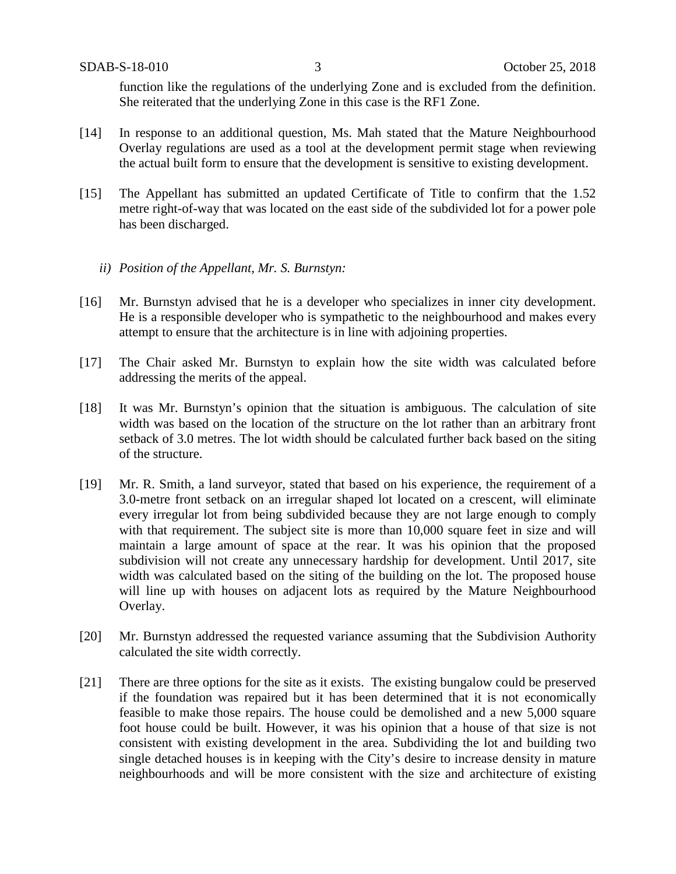function like the regulations of the underlying Zone and is excluded from the definition. She reiterated that the underlying Zone in this case is the RF1 Zone.

- [14] In response to an additional question, Ms. Mah stated that the Mature Neighbourhood Overlay regulations are used as a tool at the development permit stage when reviewing the actual built form to ensure that the development is sensitive to existing development.
- [15] The Appellant has submitted an updated Certificate of Title to confirm that the 1.52 metre right-of-way that was located on the east side of the subdivided lot for a power pole has been discharged.
	- *ii) Position of the Appellant, Mr. S. Burnstyn:*
- [16] Mr. Burnstyn advised that he is a developer who specializes in inner city development. He is a responsible developer who is sympathetic to the neighbourhood and makes every attempt to ensure that the architecture is in line with adjoining properties.
- [17] The Chair asked Mr. Burnstyn to explain how the site width was calculated before addressing the merits of the appeal.
- [18] It was Mr. Burnstyn's opinion that the situation is ambiguous. The calculation of site width was based on the location of the structure on the lot rather than an arbitrary front setback of 3.0 metres. The lot width should be calculated further back based on the siting of the structure.
- [19] Mr. R. Smith, a land surveyor, stated that based on his experience, the requirement of a 3.0-metre front setback on an irregular shaped lot located on a crescent, will eliminate every irregular lot from being subdivided because they are not large enough to comply with that requirement. The subject site is more than 10,000 square feet in size and will maintain a large amount of space at the rear. It was his opinion that the proposed subdivision will not create any unnecessary hardship for development. Until 2017, site width was calculated based on the siting of the building on the lot. The proposed house will line up with houses on adjacent lots as required by the Mature Neighbourhood Overlay.
- [20] Mr. Burnstyn addressed the requested variance assuming that the Subdivision Authority calculated the site width correctly.
- [21] There are three options for the site as it exists. The existing bungalow could be preserved if the foundation was repaired but it has been determined that it is not economically feasible to make those repairs. The house could be demolished and a new 5,000 square foot house could be built. However, it was his opinion that a house of that size is not consistent with existing development in the area. Subdividing the lot and building two single detached houses is in keeping with the City's desire to increase density in mature neighbourhoods and will be more consistent with the size and architecture of existing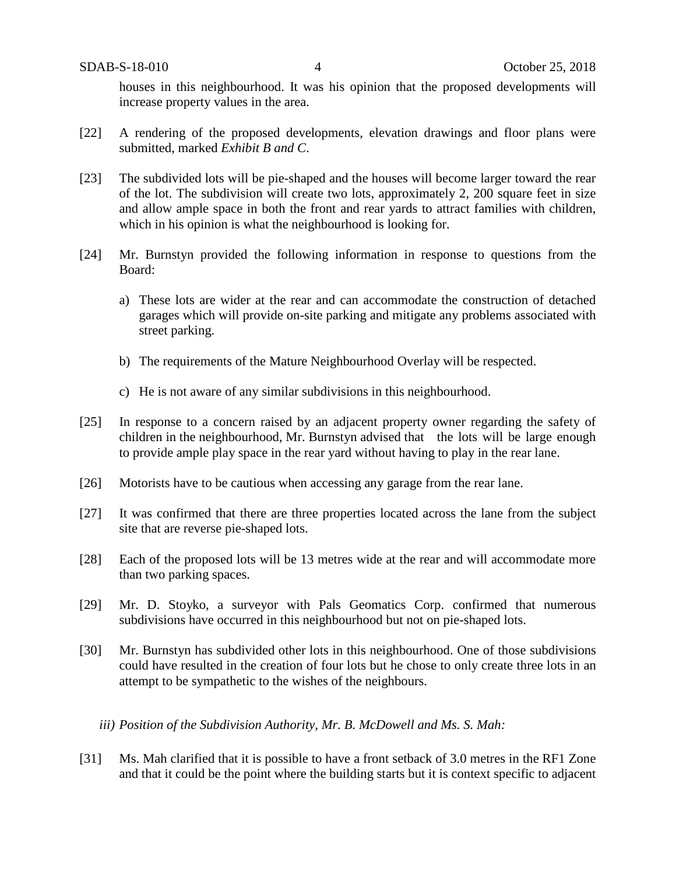houses in this neighbourhood. It was his opinion that the proposed developments will increase property values in the area.

- [22] A rendering of the proposed developments, elevation drawings and floor plans were submitted, marked *Exhibit B and C*.
- [23] The subdivided lots will be pie-shaped and the houses will become larger toward the rear of the lot. The subdivision will create two lots, approximately 2, 200 square feet in size and allow ample space in both the front and rear yards to attract families with children, which in his opinion is what the neighbourhood is looking for.
- [24] Mr. Burnstyn provided the following information in response to questions from the Board:
	- a) These lots are wider at the rear and can accommodate the construction of detached garages which will provide on-site parking and mitigate any problems associated with street parking.
	- b) The requirements of the Mature Neighbourhood Overlay will be respected.
	- c) He is not aware of any similar subdivisions in this neighbourhood.
- [25] In response to a concern raised by an adjacent property owner regarding the safety of children in the neighbourhood, Mr. Burnstyn advised that the lots will be large enough to provide ample play space in the rear yard without having to play in the rear lane.
- [26] Motorists have to be cautious when accessing any garage from the rear lane.
- [27] It was confirmed that there are three properties located across the lane from the subject site that are reverse pie-shaped lots.
- [28] Each of the proposed lots will be 13 metres wide at the rear and will accommodate more than two parking spaces.
- [29] Mr. D. Stoyko, a surveyor with Pals Geomatics Corp. confirmed that numerous subdivisions have occurred in this neighbourhood but not on pie-shaped lots.
- [30] Mr. Burnstyn has subdivided other lots in this neighbourhood. One of those subdivisions could have resulted in the creation of four lots but he chose to only create three lots in an attempt to be sympathetic to the wishes of the neighbours.
	- *iii) Position of the Subdivision Authority, Mr. B. McDowell and Ms. S. Mah:*
- [31] Ms. Mah clarified that it is possible to have a front setback of 3.0 metres in the RF1 Zone and that it could be the point where the building starts but it is context specific to adjacent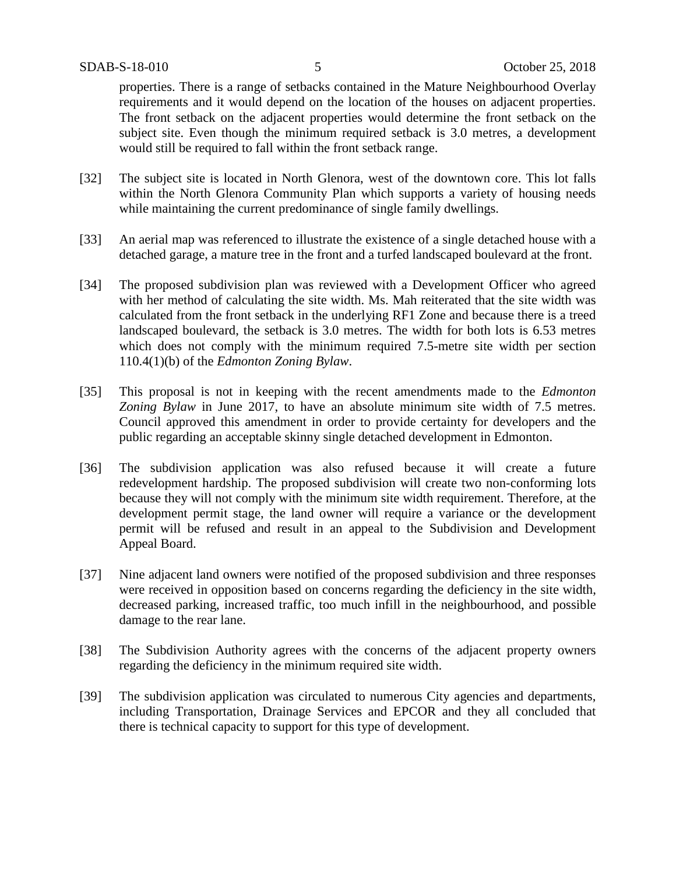properties. There is a range of setbacks contained in the Mature Neighbourhood Overlay requirements and it would depend on the location of the houses on adjacent properties. The front setback on the adjacent properties would determine the front setback on the subject site. Even though the minimum required setback is 3.0 metres, a development would still be required to fall within the front setback range.

- [32] The subject site is located in North Glenora, west of the downtown core. This lot falls within the North Glenora Community Plan which supports a variety of housing needs while maintaining the current predominance of single family dwellings.
- [33] An aerial map was referenced to illustrate the existence of a single detached house with a detached garage, a mature tree in the front and a turfed landscaped boulevard at the front.
- [34] The proposed subdivision plan was reviewed with a Development Officer who agreed with her method of calculating the site width. Ms. Mah reiterated that the site width was calculated from the front setback in the underlying RF1 Zone and because there is a treed landscaped boulevard, the setback is 3.0 metres. The width for both lots is 6.53 metres which does not comply with the minimum required 7.5-metre site width per section 110.4(1)(b) of the *Edmonton Zoning Bylaw*.
- [35] This proposal is not in keeping with the recent amendments made to the *Edmonton Zoning Bylaw* in June 2017, to have an absolute minimum site width of 7.5 metres. Council approved this amendment in order to provide certainty for developers and the public regarding an acceptable skinny single detached development in Edmonton.
- [36] The subdivision application was also refused because it will create a future redevelopment hardship. The proposed subdivision will create two non-conforming lots because they will not comply with the minimum site width requirement. Therefore, at the development permit stage, the land owner will require a variance or the development permit will be refused and result in an appeal to the Subdivision and Development Appeal Board.
- [37] Nine adjacent land owners were notified of the proposed subdivision and three responses were received in opposition based on concerns regarding the deficiency in the site width, decreased parking, increased traffic, too much infill in the neighbourhood, and possible damage to the rear lane.
- [38] The Subdivision Authority agrees with the concerns of the adjacent property owners regarding the deficiency in the minimum required site width.
- [39] The subdivision application was circulated to numerous City agencies and departments, including Transportation, Drainage Services and EPCOR and they all concluded that there is technical capacity to support for this type of development.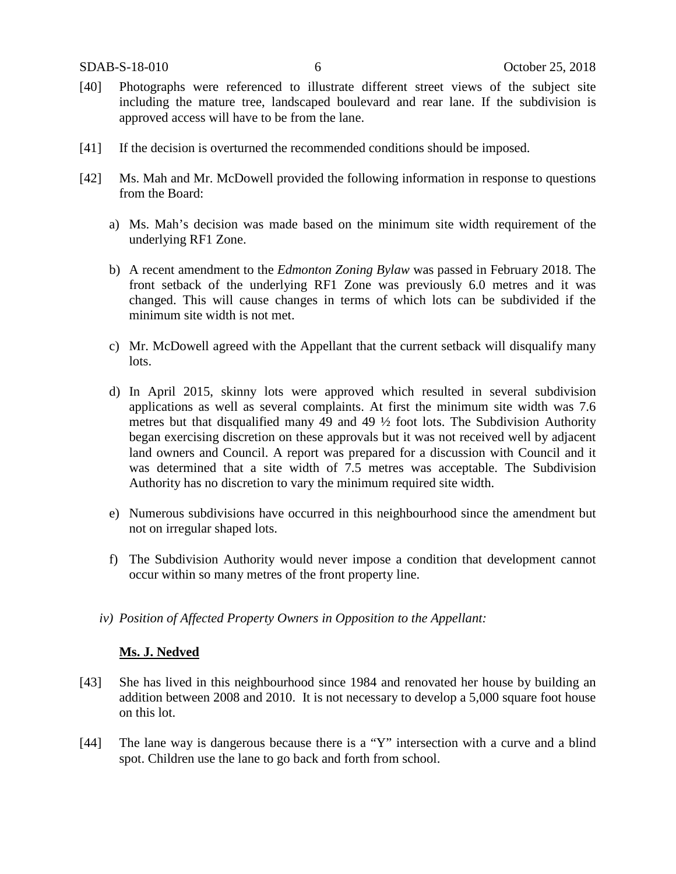- [40] Photographs were referenced to illustrate different street views of the subject site including the mature tree, landscaped boulevard and rear lane. If the subdivision is approved access will have to be from the lane.
- [41] If the decision is overturned the recommended conditions should be imposed.
- [42] Ms. Mah and Mr. McDowell provided the following information in response to questions from the Board:
	- a) Ms. Mah's decision was made based on the minimum site width requirement of the underlying RF1 Zone.
	- b) A recent amendment to the *Edmonton Zoning Bylaw* was passed in February 2018. The front setback of the underlying RF1 Zone was previously 6.0 metres and it was changed. This will cause changes in terms of which lots can be subdivided if the minimum site width is not met.
	- c) Mr. McDowell agreed with the Appellant that the current setback will disqualify many lots.
	- d) In April 2015, skinny lots were approved which resulted in several subdivision applications as well as several complaints. At first the minimum site width was 7.6 metres but that disqualified many 49 and 49 ½ foot lots. The Subdivision Authority began exercising discretion on these approvals but it was not received well by adjacent land owners and Council. A report was prepared for a discussion with Council and it was determined that a site width of 7.5 metres was acceptable. The Subdivision Authority has no discretion to vary the minimum required site width.
	- e) Numerous subdivisions have occurred in this neighbourhood since the amendment but not on irregular shaped lots.
	- f) The Subdivision Authority would never impose a condition that development cannot occur within so many metres of the front property line.
	- *iv) Position of Affected Property Owners in Opposition to the Appellant:*

#### **Ms. J. Nedved**

- [43] She has lived in this neighbourhood since 1984 and renovated her house by building an addition between 2008 and 2010. It is not necessary to develop a 5,000 square foot house on this lot.
- [44] The lane way is dangerous because there is a "Y" intersection with a curve and a blind spot. Children use the lane to go back and forth from school.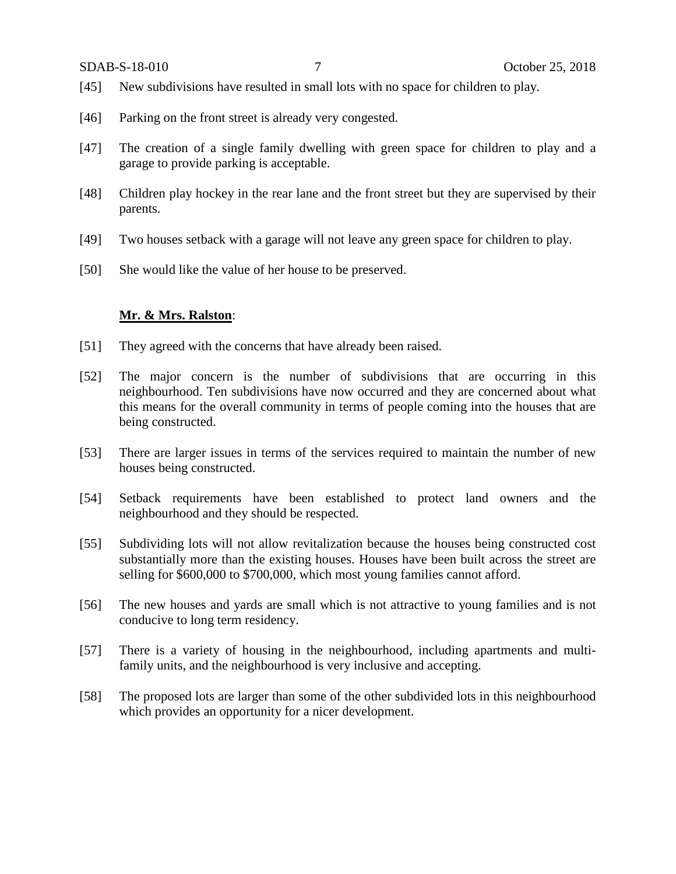- [45] New subdivisions have resulted in small lots with no space for children to play.
- [46] Parking on the front street is already very congested.
- [47] The creation of a single family dwelling with green space for children to play and a garage to provide parking is acceptable.
- [48] Children play hockey in the rear lane and the front street but they are supervised by their parents.
- [49] Two houses setback with a garage will not leave any green space for children to play.
- [50] She would like the value of her house to be preserved.

### **Mr. & Mrs. Ralston**:

- [51] They agreed with the concerns that have already been raised.
- [52] The major concern is the number of subdivisions that are occurring in this neighbourhood. Ten subdivisions have now occurred and they are concerned about what this means for the overall community in terms of people coming into the houses that are being constructed.
- [53] There are larger issues in terms of the services required to maintain the number of new houses being constructed.
- [54] Setback requirements have been established to protect land owners and the neighbourhood and they should be respected.
- [55] Subdividing lots will not allow revitalization because the houses being constructed cost substantially more than the existing houses. Houses have been built across the street are selling for \$600,000 to \$700,000, which most young families cannot afford.
- [56] The new houses and yards are small which is not attractive to young families and is not conducive to long term residency.
- [57] There is a variety of housing in the neighbourhood, including apartments and multifamily units, and the neighbourhood is very inclusive and accepting.
- [58] The proposed lots are larger than some of the other subdivided lots in this neighbourhood which provides an opportunity for a nicer development.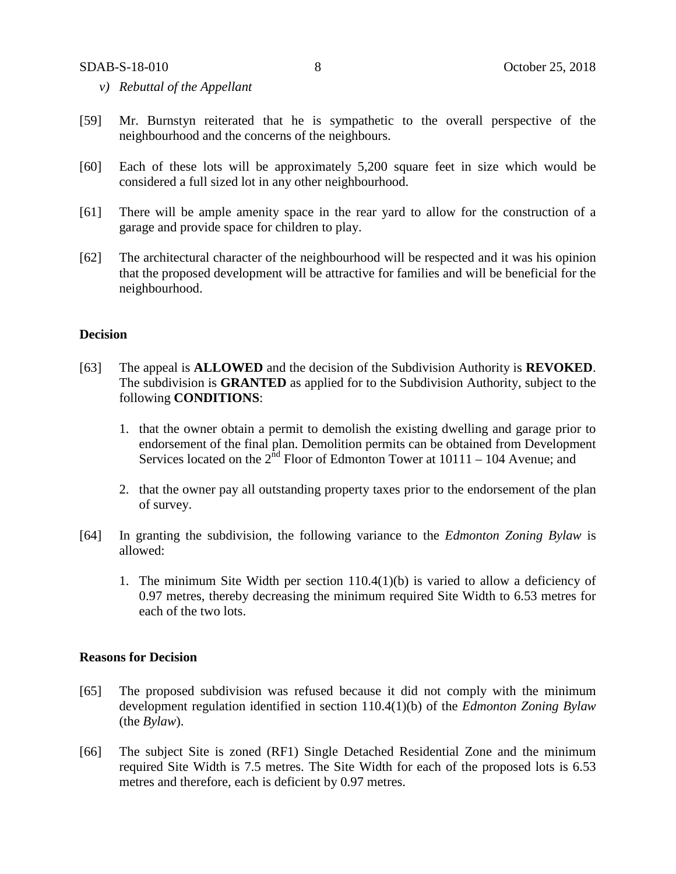- *v) Rebuttal of the Appellant*
- [59] Mr. Burnstyn reiterated that he is sympathetic to the overall perspective of the neighbourhood and the concerns of the neighbours.
- [60] Each of these lots will be approximately 5,200 square feet in size which would be considered a full sized lot in any other neighbourhood.
- [61] There will be ample amenity space in the rear yard to allow for the construction of a garage and provide space for children to play.
- [62] The architectural character of the neighbourhood will be respected and it was his opinion that the proposed development will be attractive for families and will be beneficial for the neighbourhood.

### **Decision**

- [63] The appeal is **ALLOWED** and the decision of the Subdivision Authority is **REVOKED**. The subdivision is **GRANTED** as applied for to the Subdivision Authority, subject to the following **CONDITIONS**:
	- 1. that the owner obtain a permit to demolish the existing dwelling and garage prior to endorsement of the final plan. Demolition permits can be obtained from Development Services located on the  $2<sup>nd</sup>$  Floor of Edmonton Tower at 10111 – 104 Avenue; and
	- 2. that the owner pay all outstanding property taxes prior to the endorsement of the plan of survey.
- [64] In granting the subdivision, the following variance to the *Edmonton Zoning Bylaw* is allowed:
	- 1. The minimum Site Width per section 110.4(1)(b) is varied to allow a deficiency of 0.97 metres, thereby decreasing the minimum required Site Width to 6.53 metres for each of the two lots.

### **Reasons for Decision**

- [65] The proposed subdivision was refused because it did not comply with the minimum development regulation identified in section 110.4(1)(b) of the *Edmonton Zoning Bylaw*  (the *Bylaw*).
- [66] The subject Site is zoned (RF1) Single Detached Residential Zone and the minimum required Site Width is 7.5 metres. The Site Width for each of the proposed lots is 6.53 metres and therefore, each is deficient by 0.97 metres.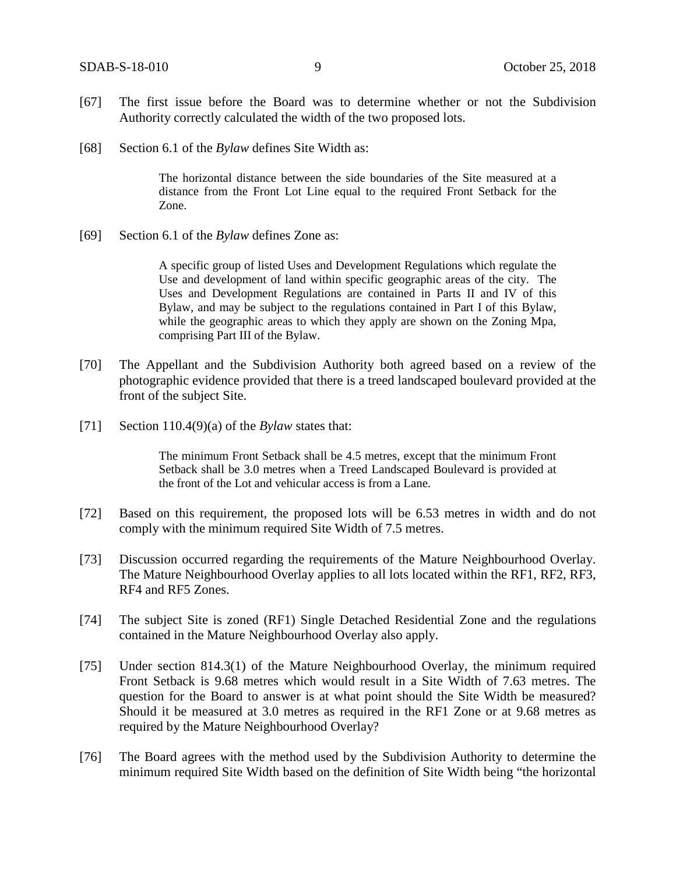- [67] The first issue before the Board was to determine whether or not the Subdivision Authority correctly calculated the width of the two proposed lots.
- [68] Section 6.1 of the *Bylaw* defines Site Width as:

The horizontal distance between the side boundaries of the Site measured at a distance from the Front Lot Line equal to the required Front Setback for the Zone.

[69] Section 6.1 of the *Bylaw* defines Zone as:

A specific group of listed Uses and Development Regulations which regulate the Use and development of land within specific geographic areas of the city. The Uses and Development Regulations are contained in Parts II and IV of this Bylaw, and may be subject to the regulations contained in Part I of this Bylaw, while the geographic areas to which they apply are shown on the Zoning Mpa, comprising Part III of the Bylaw.

- [70] The Appellant and the Subdivision Authority both agreed based on a review of the photographic evidence provided that there is a treed landscaped boulevard provided at the front of the subject Site.
- [71] Section 110.4(9)(a) of the *Bylaw* states that:

The minimum Front Setback shall be 4.5 metres, except that the minimum Front Setback shall be 3.0 metres when a Treed Landscaped Boulevard is provided at the front of the Lot and vehicular access is from a Lane.

- [72] Based on this requirement, the proposed lots will be 6.53 metres in width and do not comply with the minimum required Site Width of 7.5 metres.
- [73] Discussion occurred regarding the requirements of the Mature Neighbourhood Overlay. The Mature Neighbourhood Overlay applies to all lots located within the RF1, RF2, RF3, RF4 and RF5 Zones.
- [74] The subject Site is zoned (RF1) Single Detached Residential Zone and the regulations contained in the Mature Neighbourhood Overlay also apply.
- [75] Under section 814.3(1) of the Mature Neighbourhood Overlay, the minimum required Front Setback is 9.68 metres which would result in a Site Width of 7.63 metres. The question for the Board to answer is at what point should the Site Width be measured? Should it be measured at 3.0 metres as required in the RF1 Zone or at 9.68 metres as required by the Mature Neighbourhood Overlay?
- [76] The Board agrees with the method used by the Subdivision Authority to determine the minimum required Site Width based on the definition of Site Width being "the horizontal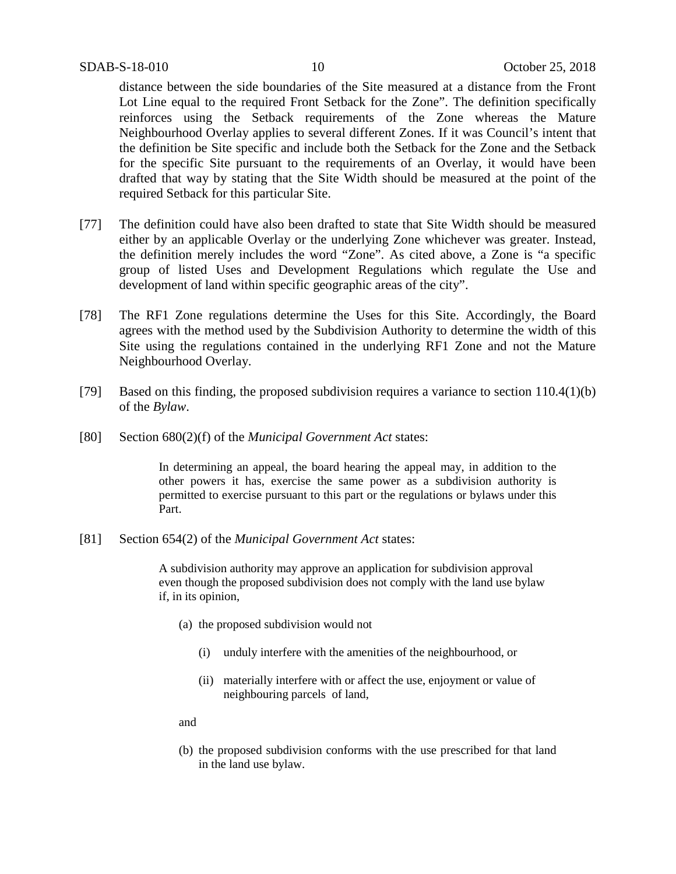distance between the side boundaries of the Site measured at a distance from the Front Lot Line equal to the required Front Setback for the Zone". The definition specifically reinforces using the Setback requirements of the Zone whereas the Mature Neighbourhood Overlay applies to several different Zones. If it was Council's intent that the definition be Site specific and include both the Setback for the Zone and the Setback for the specific Site pursuant to the requirements of an Overlay, it would have been drafted that way by stating that the Site Width should be measured at the point of the required Setback for this particular Site.

- [77] The definition could have also been drafted to state that Site Width should be measured either by an applicable Overlay or the underlying Zone whichever was greater. Instead, the definition merely includes the word "Zone". As cited above, a Zone is "a specific group of listed Uses and Development Regulations which regulate the Use and development of land within specific geographic areas of the city".
- [78] The RF1 Zone regulations determine the Uses for this Site. Accordingly, the Board agrees with the method used by the Subdivision Authority to determine the width of this Site using the regulations contained in the underlying RF1 Zone and not the Mature Neighbourhood Overlay.
- [79] Based on this finding, the proposed subdivision requires a variance to section 110.4(1)(b) of the *Bylaw*.
- [80] Section 680(2)(f) of the *Municipal Government Act* states:

In determining an appeal, the board hearing the appeal may, in addition to the other powers it has, exercise the same power as a subdivision authority is permitted to exercise pursuant to this part or the regulations or bylaws under this Part.

[81] Section 654(2) of the *Municipal Government Act* states:

A subdivision authority may approve an application for subdivision approval even though the proposed subdivision does not comply with the land use bylaw if, in its opinion,

- (a) the proposed subdivision would not
	- (i) unduly interfere with the amenities of the neighbourhood, or
	- (ii) materially interfere with or affect the use, enjoyment or value of neighbouring parcels of land,

and

(b) the proposed subdivision conforms with the use prescribed for that land in the land use bylaw.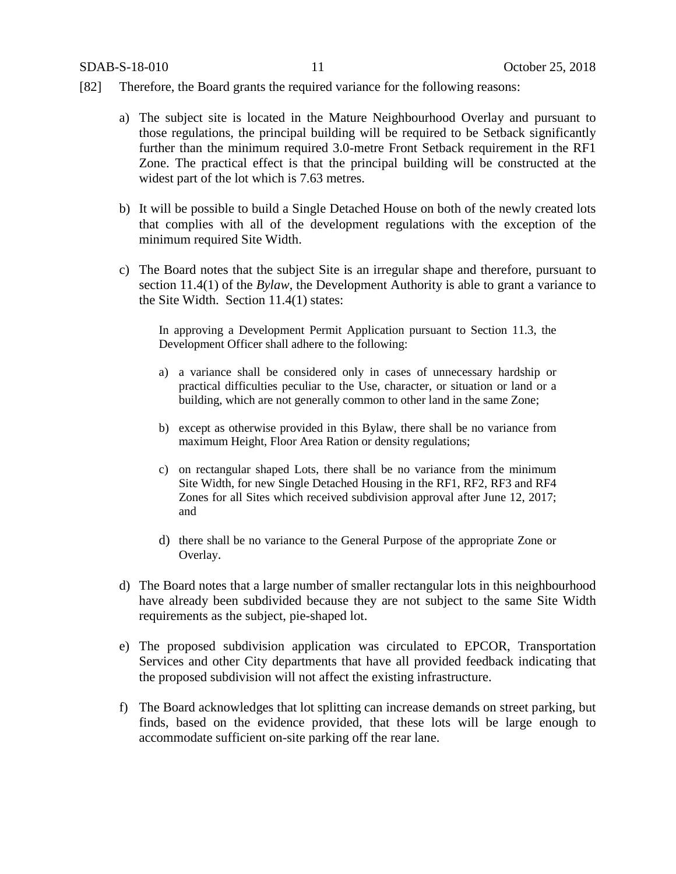- [82] Therefore, the Board grants the required variance for the following reasons:
	- a) The subject site is located in the Mature Neighbourhood Overlay and pursuant to those regulations, the principal building will be required to be Setback significantly further than the minimum required 3.0-metre Front Setback requirement in the RF1 Zone. The practical effect is that the principal building will be constructed at the widest part of the lot which is 7.63 metres.
	- b) It will be possible to build a Single Detached House on both of the newly created lots that complies with all of the development regulations with the exception of the minimum required Site Width.
	- c) The Board notes that the subject Site is an irregular shape and therefore, pursuant to section 11.4(1) of the *Bylaw*, the Development Authority is able to grant a variance to the Site Width. Section 11.4(1) states:

In approving a Development Permit Application pursuant to Section 11.3, the Development Officer shall adhere to the following:

- a) a variance shall be considered only in cases of unnecessary hardship or practical difficulties peculiar to the Use, character, or situation or land or a building, which are not generally common to other land in the same Zone;
- b) except as otherwise provided in this Bylaw, there shall be no variance from maximum Height, Floor Area Ration or density regulations;
- c) on rectangular shaped Lots, there shall be no variance from the minimum Site Width, for new Single Detached Housing in the RF1, RF2, RF3 and RF4 Zones for all Sites which received subdivision approval after June 12, 2017; and
- d) there shall be no variance to the General Purpose of the appropriate Zone or Overlay.
- d) The Board notes that a large number of smaller rectangular lots in this neighbourhood have already been subdivided because they are not subject to the same Site Width requirements as the subject, pie-shaped lot.
- e) The proposed subdivision application was circulated to EPCOR, Transportation Services and other City departments that have all provided feedback indicating that the proposed subdivision will not affect the existing infrastructure.
- f) The Board acknowledges that lot splitting can increase demands on street parking, but finds, based on the evidence provided, that these lots will be large enough to accommodate sufficient on-site parking off the rear lane.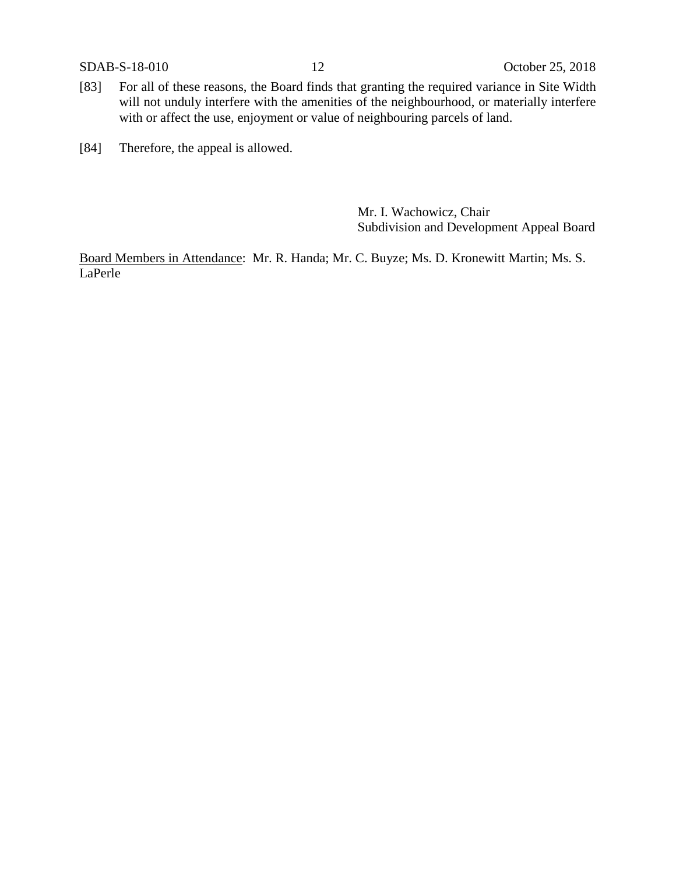- [83] For all of these reasons, the Board finds that granting the required variance in Site Width will not unduly interfere with the amenities of the neighbourhood, or materially interfere with or affect the use, enjoyment or value of neighbouring parcels of land.
- [84] Therefore, the appeal is allowed.

Mr. I. Wachowicz, Chair Subdivision and Development Appeal Board

Board Members in Attendance: Mr. R. Handa; Mr. C. Buyze; Ms. D. Kronewitt Martin; Ms. S. LaPerle